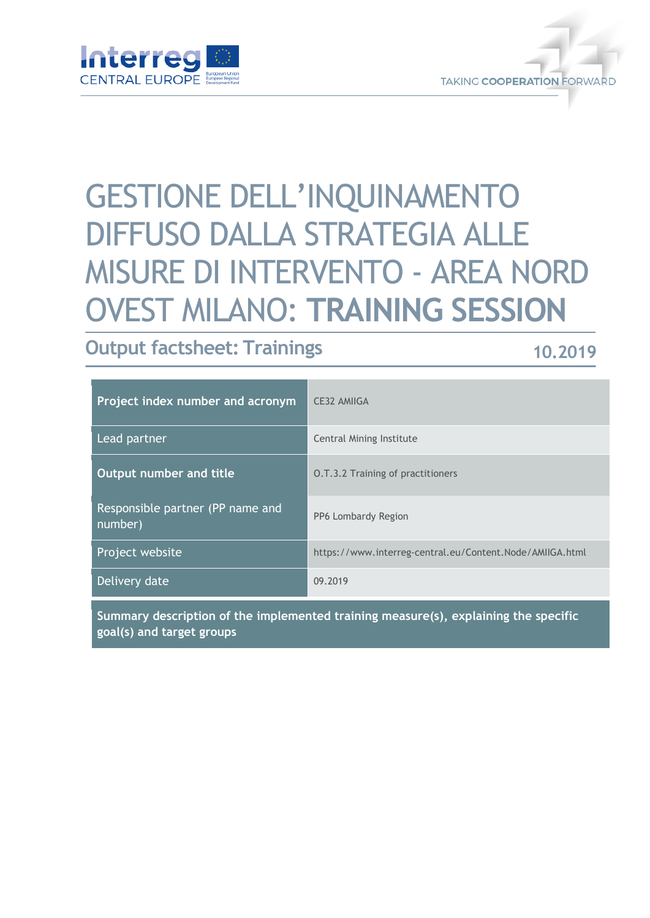



# GESTIONE DELL'INQUINAMENTO DIFFUSO DALLA STRATEGIA ALLE MISURE DI INTERVENTO - AREA NORD OVEST MILANO: **TRAINING SESSION**

## **Output factsheet: Trainings**

### **10.2019**

| Project index number and acronym            | <b>CE32 AMIIGA</b>                                       |
|---------------------------------------------|----------------------------------------------------------|
| Lead partner                                | Central Mining Institute                                 |
| Output number and title                     | <b>O.T.3.2 Training of practitioners</b>                 |
| Responsible partner (PP name and<br>number) | PP6 Lombardy Region                                      |
| Project website                             | https://www.interreg-central.eu/Content.Node/AMIIGA.html |
| Delivery date                               | 09.2019                                                  |

**Summary description of the implemented training measure(s), explaining the specific goal(s) and target groups**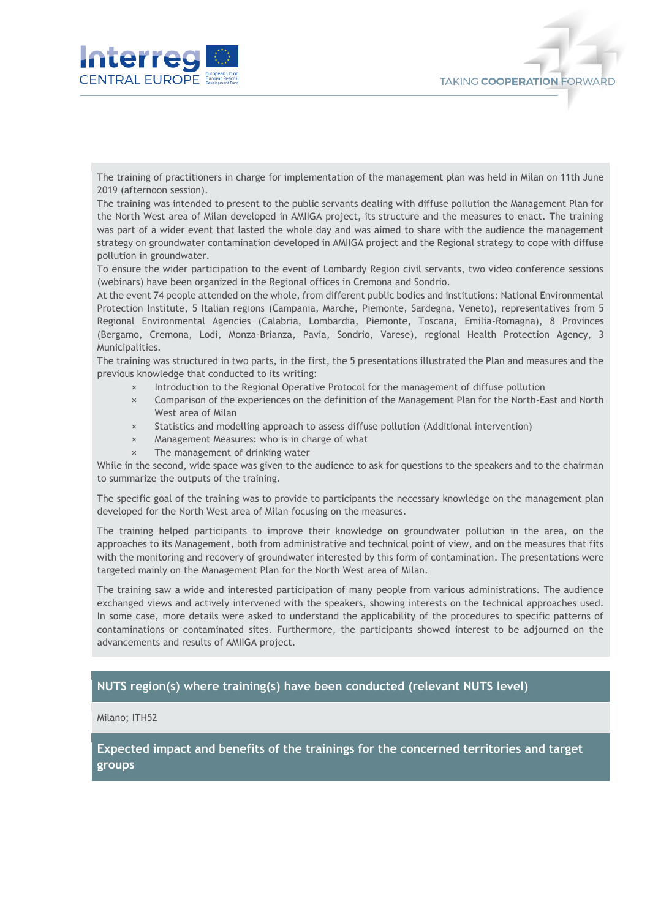

The training of practitioners in charge for implementation of the management plan was held in Milan on 11th June 2019 (afternoon session).

**TAKING COOPERATION FORWARD** 

The training was intended to present to the public servants dealing with diffuse pollution the Management Plan for the North West area of Milan developed in AMIIGA project, its structure and the measures to enact. The training was part of a wider event that lasted the whole day and was aimed to share with the audience the management strategy on groundwater contamination developed in AMIIGA project and the Regional strategy to cope with diffuse pollution in groundwater.

To ensure the wider participation to the event of Lombardy Region civil servants, two video conference sessions (webinars) have been organized in the Regional offices in Cremona and Sondrio.

At the event 74 people attended on the whole, from different public bodies and institutions: National Environmental Protection Institute, 5 Italian regions (Campania, Marche, Piemonte, Sardegna, Veneto), representatives from 5 Regional Environmental Agencies (Calabria, Lombardia, Piemonte, Toscana, Emilia-Romagna), 8 Provinces (Bergamo, Cremona, Lodi, Monza-Brianza, Pavia, Sondrio, Varese), regional Health Protection Agency, 3 Municipalities.

The training was structured in two parts, in the first, the 5 presentations illustrated the Plan and measures and the previous knowledge that conducted to its writing:

- × Introduction to the Regional Operative Protocol for the management of diffuse pollution
- × Comparison of the experiences on the definition of the Management Plan for the North-East and North West area of Milan
- × Statistics and modelling approach to assess diffuse pollution (Additional intervention)
- × Management Measures: who is in charge of what
- The management of drinking water

While in the second, wide space was given to the audience to ask for questions to the speakers and to the chairman to summarize the outputs of the training.

The specific goal of the training was to provide to participants the necessary knowledge on the management plan developed for the North West area of Milan focusing on the measures.

The training helped participants to improve their knowledge on groundwater pollution in the area, on the approaches to its Management, both from administrative and technical point of view, and on the measures that fits with the monitoring and recovery of groundwater interested by this form of contamination. The presentations were targeted mainly on the Management Plan for the North West area of Milan.

The training saw a wide and interested participation of many people from various administrations. The audience exchanged views and actively intervened with the speakers, showing interests on the technical approaches used. In some case, more details were asked to understand the applicability of the procedures to specific patterns of contaminations or contaminated sites. Furthermore, the participants showed interest to be adjourned on the advancements and results of AMIIGA project.

#### **NUTS region(s) where training(s) have been conducted (relevant NUTS level)**

Milano; ITH52

**Expected impact and benefits of the trainings for the concerned territories and target groups**